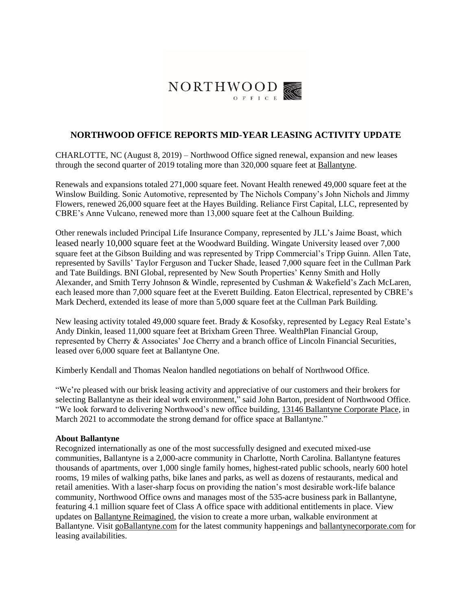

## **NORTHWOOD OFFICE REPORTS MID-YEAR LEASING ACTIVITY UPDATE**

CHARLOTTE, NC (August 8, 2019) – Northwood Office signed renewal, expansion and new leases through the second quarter of 2019 totaling more than 320,000 square feet at [Ballantyne.](https://www.goballantyne.com/)

Renewals and expansions totaled 271,000 square feet. Novant Health renewed 49,000 square feet at the Winslow Building. Sonic Automotive, represented by The Nichols Company's John Nichols and Jimmy Flowers, renewed 26,000 square feet at the Hayes Building. Reliance First Capital, LLC, represented by CBRE's Anne Vulcano, renewed more than 13,000 square feet at the Calhoun Building.

Other renewals included Principal Life Insurance Company, represented by JLL's Jaime Boast, which leased nearly 10,000 square feet at the Woodward Building. Wingate University leased over 7,000 square feet at the Gibson Building and was represented by Tripp Commercial's Tripp Guinn. Allen Tate, represented by Savills' Taylor Ferguson and Tucker Shade, leased 7,000 square feet in the Cullman Park and Tate Buildings. BNI Global, represented by New South Properties' Kenny Smith and Holly Alexander, and Smith Terry Johnson & Windle, represented by Cushman & Wakefield's Zach McLaren, each leased more than 7,000 square feet at the Everett Building. Eaton Electrical, represented by CBRE's Mark Decherd, extended its lease of more than 5,000 square feet at the Cullman Park Building.

New leasing activity totaled 49,000 square feet. Brady & Kosofsky, represented by Legacy Real Estate's Andy Dinkin, leased 11,000 square feet at Brixham Green Three. WealthPlan Financial Group, represented by Cherry & Associates' Joe Cherry and a branch office of Lincoln Financial Securities, leased over 6,000 square feet at Ballantyne One.

Kimberly Kendall and Thomas Nealon handled negotiations on behalf of Northwood Office.

"We're pleased with our brisk leasing activity and appreciative of our customers and their brokers for selecting Ballantyne as their ideal work environment," said John Barton, president of Northwood Office. "We look forward to delivering Northwood's new office building, [13146 Ballantyne Corporate Place,](http://13146.projectballantyne.com/) in March 2021 to accommodate the strong demand for office space at Ballantyne."

## **About Ballantyne**

Recognized internationally as one of the most successfully designed and executed mixed-use communities, Ballantyne is a 2,000-acre community in Charlotte, North Carolina. Ballantyne features thousands of apartments, over 1,000 single family homes, highest-rated public schools, nearly 600 hotel rooms, 19 miles of walking paths, bike lanes and parks, as well as dozens of restaurants, medical and retail amenities. With a laser-sharp focus on providing the nation's most desirable work-life balance community, Northwood Office owns and manages most of the 535-acre business park in Ballantyne, featuring 4.1 million square feet of Class A office space with additional entitlements in place. View updates on [Ballantyne Reimagined,](http://reimagined.projectballantyne.com/) the vision to create a more urban, walkable environment at Ballantyne. Visit [goBallantyne.com](https://www.goballantyne.com/) for the latest community happenings and [ballantynecorporate.com](https://www.ballantynecorporate.com/) for leasing availabilities.